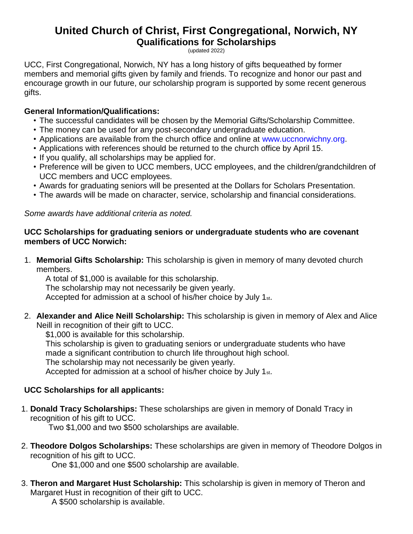# **United Church of Christ, First Congregational, Norwich, NY Qualifications for Scholarships**

(updated 2022)

UCC, First Congregational, Norwich, NY has a long history of gifts bequeathed by former members and memorial gifts given by family and friends. To recognize and honor our past and encourage growth in our future, our scholarship program is supported by some recent generous gifts.

## **General Information/Qualifications:**

- The successful candidates will be chosen by the Memorial Gifts/Scholarship Committee.
- The money can be used for any post-secondary undergraduate education.
- Applications are available from the church office and online at www.uccnorwichny.org.
- Applications with references should be returned to the church office by April 15.
- If you qualify, all scholarships may be applied for.
- Preference will be given to UCC members, UCC employees, and the children/grandchildren of UCC members and UCC employees.
- Awards for graduating seniors will be presented at the Dollars for Scholars Presentation.
- The awards will be made on character, service, scholarship and financial considerations.

*Some awards have additional criteria as noted.*

#### **UCC Scholarships for graduating seniors or undergraduate students who are covenant members of UCC Norwich:**

1. **Memorial Gifts Scholarship:** This scholarship is given in memory of many devoted church members.

A total of \$1,000 is available for this scholarship. The scholarship may not necessarily be given yearly. Accepted for admission at a school of his/her choice by July 1st.

2. **Alexander and Alice Neill Scholarship:** This scholarship is given in memory of Alex and Alice Neill in recognition of their gift to UCC.

\$1,000 is available for this scholarship.

This scholarship is given to graduating seniors or undergraduate students who have

made a significant contribution to church life throughout high school.

The scholarship may not necessarily be given yearly.

Accepted for admission at a school of his/her choice by July 1st.

# **UCC Scholarships for all applicants:**

1. **Donald Tracy Scholarships:** These scholarships are given in memory of Donald Tracy in recognition of his gift to UCC.

Two \$1,000 and two \$500 scholarships are available.

2. **Theodore Dolgos Scholarships:** These scholarships are given in memory of Theodore Dolgos in recognition of his gift to UCC.

One \$1,000 and one \$500 scholarship are available.

3. **Theron and Margaret Hust Scholarship:** This scholarship is given in memory of Theron and Margaret Hust in recognition of their gift to UCC.

A \$500 scholarship is available.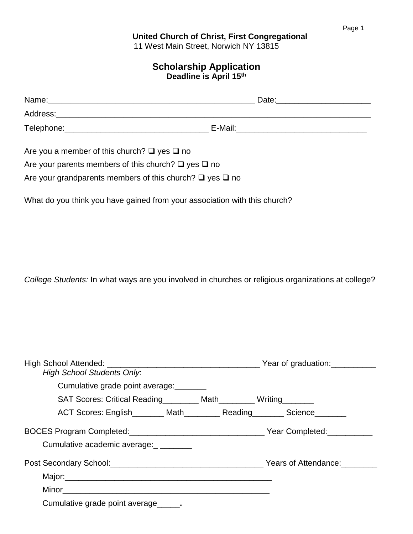#### **United Church of Christ, First Congregational** 11 West Main Street, Norwich NY 13815

## **Scholarship Application Deadline is April 15th**

| Name:      | Date:   |
|------------|---------|
| Address:   |         |
| Telephone: | E-Mail: |

Are you a member of this church?  $\Box$  yes  $\Box$  no

Are your parents members of this church?  $\Box$  yes  $\Box$  no

Are your grandparents members of this church?  $\Box$  yes  $\Box$  no

What do you think you have gained from your association with this church?

*College Students:* In what ways are you involved in churches or religious organizations at college?

| <b>High School Students Only:</b>                                                                              |                                                                           |
|----------------------------------------------------------------------------------------------------------------|---------------------------------------------------------------------------|
| Cumulative grade point average:                                                                                |                                                                           |
| SAT Scores: Critical Reading_________ Math________ Writing_______                                              |                                                                           |
|                                                                                                                | ACT Scores: English________ Math__________ Reading________ Science_______ |
|                                                                                                                |                                                                           |
| Cumulative academic average:                                                                                   |                                                                           |
|                                                                                                                |                                                                           |
| Major: Major: Major: Major: Major: Major: Major: Major: Major: Major: Major: Major: Major: Major: Major: Major |                                                                           |
|                                                                                                                |                                                                           |
| Cumulative grade point average______.                                                                          |                                                                           |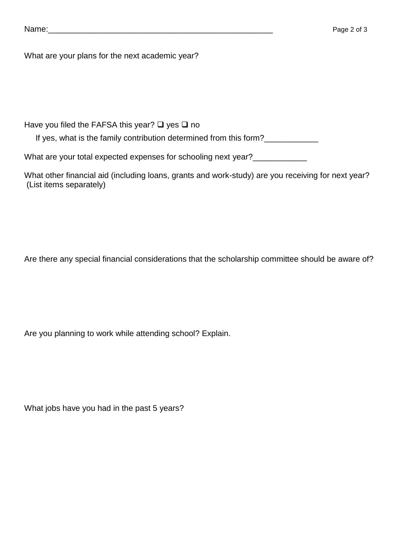| Name: |
|-------|
|-------|

What are your plans for the next academic year?

Have you filed the FAFSA this year?  $\Box$  yes  $\Box$  no

If yes, what is the family contribution determined from this form?\_\_\_\_\_\_\_\_\_\_\_\_\_

What are your total expected expenses for schooling next year?\_\_\_\_\_\_\_\_\_\_\_\_\_

What other financial aid (including loans, grants and work-study) are you receiving for next year? (List items separately)

Are there any special financial considerations that the scholarship committee should be aware of?

Are you planning to work while attending school? Explain.

What jobs have you had in the past 5 years?